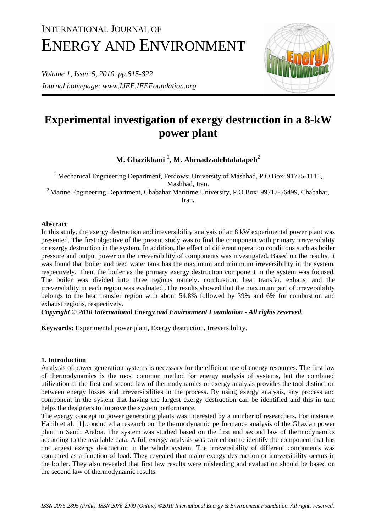# INTERNATIONAL JOURNAL OF ENERGY AND ENVIRONMENT

*Volume 1, Issue 5, 2010 pp.815-822 Journal homepage: www.IJEE.IEEFoundation.org* 



# **Experimental investigation of exergy destruction in a 8-kW power plant**

**M. Ghazikhani <sup>1</sup> , M. Ahmadzadehtalatapeh2**

<sup>1</sup> Mechanical Engineering Department, Ferdowsi University of Mashhad, P.O.Box: 91775-1111, Mashhad, Iran. <sup>2</sup> Marine Engineering Department, Chabahar Maritime University, P.O.Box: 99717-56499, Chabahar,

Iran.

### **Abstract**

In this study, the exergy destruction and irreversibility analysis of an 8 kW experimental power plant was presented. The first objective of the present study was to find the component with primary irreversibility or exergy destruction in the system. In addition, the effect of different operation conditions such as boiler pressure and output power on the irreversibility of components was investigated. Based on the results, it was found that boiler and feed water tank has the maximum and minimum irreversibility in the system, respectively. Then, the boiler as the primary exergy destruction component in the system was focused. The boiler was divided into three regions namely: combustion, heat transfer, exhaust and the irreversibility in each region was evaluated .The results showed that the maximum part of irreversibility belongs to the heat transfer region with about 54.8% followed by 39% and 6% for combustion and exhaust regions, respectively.

*Copyright © 2010 International Energy and Environment Foundation - All rights reserved.*

**Keywords:** Experimental power plant, Exergy destruction, Irreversibility.

## **1. Introduction**

Analysis of power generation systems is necessary for the efficient use of energy resources. The first law of thermodynamics is the most common method for energy analysis of systems, but the combined utilization of the first and second law of thermodynamics or exergy analysis provides the tool distinction between energy losses and irreversibilities in the process. By using exergy analysis, any process and component in the system that having the largest exergy destruction can be identified and this in turn helps the designers to improve the system performance.

The exergy concept in power generating plants was interested by a number of researchers. For instance, Habib et al. [1] conducted a research on the thermodynamic performance analysis of the Ghazlan power plant in Saudi Arabia. The system was studied based on the first and second law of thermodynamics according to the available data. A full exergy analysis was carried out to identify the component that has the largest exergy destruction in the whole system. The irreversibility of different components was compared as a function of load. They revealed that major exergy destruction or irreversibility occurs in the boiler. They also revealed that first law results were misleading and evaluation should be based on the second law of thermodynamic results.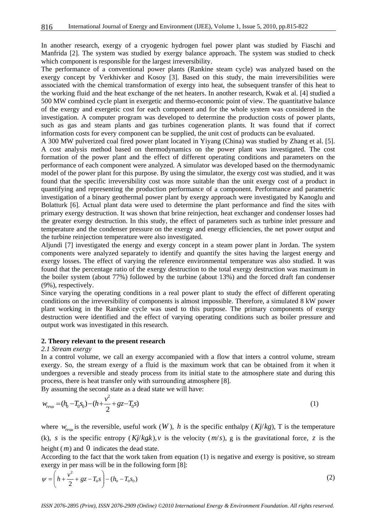In another research, exergy of a cryogenic hydrogen fuel power plant was studied by Fiaschi and Manfrida [2]. The system was studied by exergy balance approach. The system was studied to check which component is responsible for the largest irreversibility.

The performance of a conventional power plants (Rankine steam cycle) was analyzed based on the exergy concept by Verkhivker and Kosoy [3]. Based on this study, the main irreversibilities were associated with the chemical transformation of exergy into heat, the subsequent transfer of this heat to the working fluid and the heat exchange of the net heaters. In another research, Kwak et al. [4] studied a 500 MW combined cycle plant in exergetic and thermo-economic point of view. The quantitative balance of the exergy and exergetic cost for each component and for the whole system was considered in the investigation. A computer program was developed to determine the production costs of power plants, such as gas and steam plants and gas turbines cogeneration plants. It was found that if correct information costs for every component can be supplied, the unit cost of products can be evaluated.

A 300 MW pulverized coal fired power plant located in Yiyang (China) was studied by Zhang et al. [5]. A cost analysis method based on thermodynamics on the power plant was investigated. The cost formation of the power plant and the effect of different operating conditions and parameters on the performance of each component were analyzed. A simulator was developed based on the thermodynamic model of the power plant for this purpose. By using the simulator, the exergy cost was studied, and it was found that the specific irreversibility cost was more suitable than the unit exergy cost of a product in quantifying and representing the production performance of a component. Performance and parametric investigation of a binary geothermal power plant by exergy approach were investigated by Kanoglu and Bolatturk [6]. Actual plant data were used to determine the plant performance and find the sites with primary exergy destruction. It was shown that brine reinjection, heat exchanger and condenser losses had the greater exergy destruction. In this study, the effect of parameters such as turbine inlet pressure and temperature and the condenser pressure on the exergy and energy efficiencies, the net power output and the turbine reinjection temperature were also investigated.

Aljundi [7] investigated the energy and exergy concept in a steam power plant in Jordan. The system components were analyzed separately to identify and quantify the sites having the largest energy and exergy losses. The effect of varying the reference environmental temperature was also studied. It was found that the percentage ratio of the exergy destruction to the total exergy destruction was maximum in the boiler system (about 77%) followed by the turbine (about 13%) and the forced draft fan condenser (9%), respectively.

Since varying the operating conditions in a real power plant to study the effect of different operating conditions on the irreversibility of components is almost impossible. Therefore, a simulated 8 kW power plant working in the Rankine cycle was used to this purpose. The primary components of exergy destruction were identified and the effect of varying operating conditions such as boiler pressure and output work was investigated in this research.

#### **2. Theory relevant to the present research**

#### *2.1 Stream exergy*

In a control volume, we call an exergy accompanied with a flow that inters a control volume, stream exergy. So, the stream exergy of a fluid is the maximum work that can be obtained from it when it undergoes a reversible and steady process from its initial state to the atmosphere state and during this process, there is heat transfer only with surrounding atmosphere [8].

By assuming the second state as a dead state we will have:

$$
w_{revu} = (h_0 - T_0 s_0) - (h + \frac{v^2}{2} + gz - T_0 s)
$$
\n(1)

where  $w_{\text{new}}$  is the reversible, useful work  $(W)$ , *h* is the specific enthalpy  $(Kj/kg)$ , T is the temperature (k), *s* is the specific entropy  $(Kj/kgk)$ , *v* is the velocity  $(m/s)$ , *g* is the gravitational force, *z* is the height (*m*) and 0 indicates the dead state.

According to the fact that the work taken from equation (1) is negative and exergy is positive, so stream exergy in per mass will be in the following form [8]:

$$
\psi = \left( h + \frac{v^2}{2} + gz - T_0 s \right) - (h_0 - T_0 s_0)
$$
\n(2)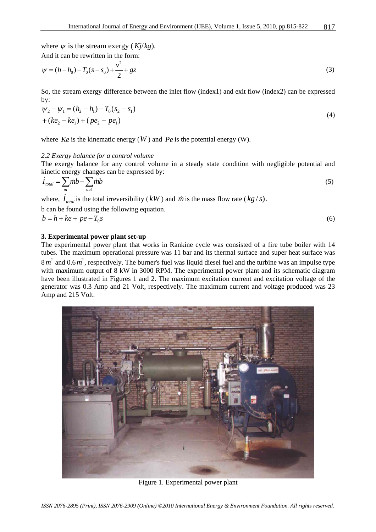where  $\psi$  is the stream exergy ( $Kj/kg$ ). And it can be rewritten in the form:

$$
\psi = (h - h_0) - T_0 (s - s_0) + \frac{v^2}{2} + gz \tag{3}
$$

So, the stream exergy difference between the inlet flow (index1) and exit flow (index2) can be expressed by:

$$
\psi_2 - \psi_1 = (h_2 - h_1) - T_0 (s_2 - s_1) \n+ (ke_2 - ke_1) + (pe_2 - pe_1)
$$
\n(4)

where  $Ke$  is the kinematic energy  $(W)$  and  $Pe$  is the potential energy  $(W)$ .

#### *2.2 Exergy balance for a control volume*

The exergy balance for any control volume in a steady state condition with negligible potential and kinetic energy changes can be expressed by:

$$
\dot{I}_{total} = \sum_{in} \dot{m}b - \sum_{out} \dot{m}b \tag{5}
$$

where,  $\dot{I}_{total}$  is the total irreversibility (*kW*) and *m* is the mass flow rate (*kg/s*).

b can be found using the following equation.

 $b = h + ke + pe - T_0 s$  (6)

#### **3. Experimental power plant set-up**

The experimental power plant that works in Rankine cycle was consisted of a fire tube boiler with 14 tubes. The maximum operational pressure was 11 bar and its thermal surface and super heat surface was  $8 m<sup>2</sup>$  and  $0.6 m<sup>2</sup>$ , respectively. The burner's fuel was liquid diesel fuel and the turbine was an impulse type with maximum output of 8 kW in 3000 RPM. The experimental power plant and its schematic diagram have been illustrated in Figures 1 and 2. The maximum excitation current and excitation voltage of the generator was 0.3 Amp and 21 Volt, respectively. The maximum current and voltage produced was 23 Amp and 215 Volt.



Figure 1. Experimental power plant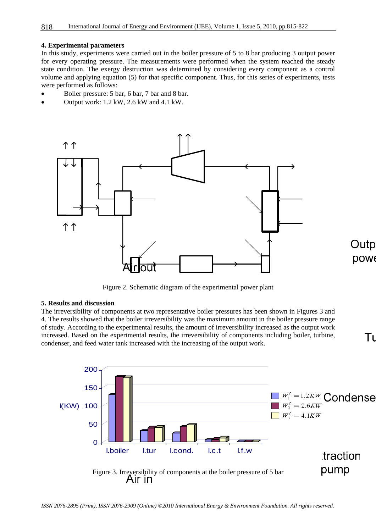#### **4. Experimental parameters**

In this study, experiments were carried out in the boiler pressure of 5 to 8 bar producing 3 output power for every operating pressure. The measurements were performed when the system reached the steady state condition. The exergy destruction was determined by considering every component as a control volume and applying equation (5) for that specific component. Thus, for this series of experiments, tests were performed as follows:

- Boiler pressure: 5 bar, 6 bar, 7 bar and 8 bar.
- Output work: 1.2 kW, 2.6 kW and 4.1 kW.



Figure 2. Schematic diagram of the experimental power plant

#### **5. Results and discussion**

The irreversibility of components at two representative boiler pressures has been shown in Figures 3 and 4. The results showed that the boiler irreversibility was the maximum amount in the boiler pressure range of study. According to the experimental results, the amount of irreversibility increased as the output work increased. Based on the experimental results, the irreversibility of components including boiler, turbine, condenser, and feed water tank increased with the increasing of the output work.



Outp **DOW6** 

Tι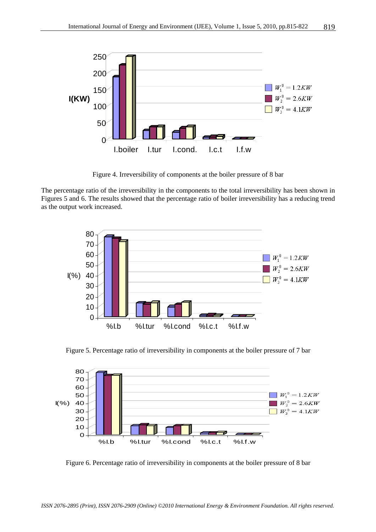

Figure 4. Irreversibility of components at the boiler pressure of 8 bar

The percentage ratio of the irreversibility in the components to the total irreversibility has been shown in Figures 5 and 6. The results showed that the percentage ratio of boiler irreversibility has a reducing trend as the output work increased.



Figure 5. Percentage ratio of irreversibility in components at the boiler pressure of 7 bar



Figure 6. Percentage ratio of irreversibility in components at the boiler pressure of 8 bar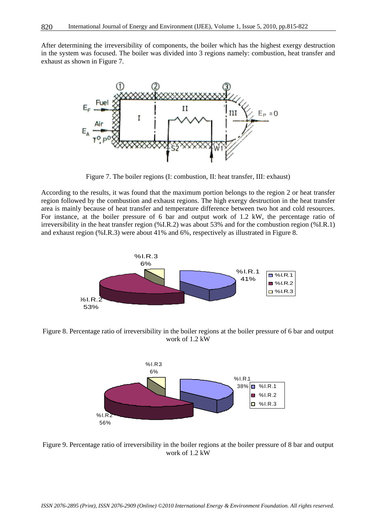After determining the irreversibility of components, the boiler which has the highest exergy destruction in the system was focused. The boiler was divided into 3 regions namely: combustion, heat transfer and exhaust as shown in Figure 7.



Figure 7. The boiler regions (I: combustion, II: heat transfer, III: exhaust)

According to the results, it was found that the maximum portion belongs to the region 2 or heat transfer region followed by the combustion and exhaust regions. The high exergy destruction in the heat transfer area is mainly because of heat transfer and temperature difference between two hot and cold resources. For instance, at the boiler pressure of 6 bar and output work of 1.2 kW, the percentage ratio of irreversibility in the heat transfer region (%I.R.2) was about 53% and for the combustion region (%I.R.1) and exhaust region (%I.R.3) were about 41% and 6%, respectively as illustrated in Figure 8.



Figure 8. Percentage ratio of irreversibility in the boiler regions at the boiler pressure of 6 bar and output work of 1.2 kW



Figure 9. Percentage ratio of irreversibility in the boiler regions at the boiler pressure of 8 bar and output work of 1.2 kW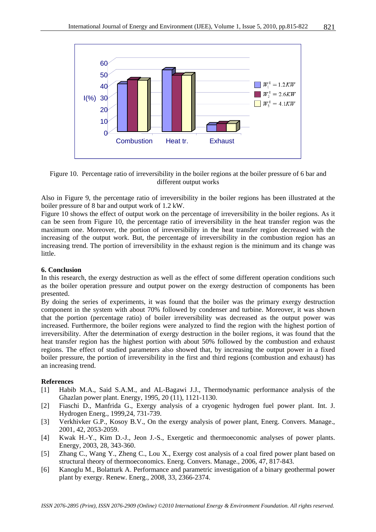

Figure 10. Percentage ratio of irreversibility in the boiler regions at the boiler pressure of 6 bar and different output works

Also in Figure 9, the percentage ratio of irreversibility in the boiler regions has been illustrated at the boiler pressure of 8 bar and output work of 1.2 kW.

Figure 10 shows the effect of output work on the percentage of irreversibility in the boiler regions. As it can be seen from Figure 10, the percentage ratio of irreversibility in the heat transfer region was the maximum one. Moreover, the portion of irreversibility in the heat transfer region decreased with the increasing of the output work. But, the percentage of irreversibility in the combustion region has an increasing trend. The portion of irreversibility in the exhaust region is the minimum and its change was little.

#### **6. Conclusion**

In this research, the exergy destruction as well as the effect of some different operation conditions such as the boiler operation pressure and output power on the exergy destruction of components has been presented.

By doing the series of experiments, it was found that the boiler was the primary exergy destruction component in the system with about 70% followed by condenser and turbine. Moreover, it was shown that the portion (percentage ratio) of boiler irreversibility was decreased as the output power was increased. Furthermore, the boiler regions were analyzed to find the region with the highest portion of irreversibility. After the determination of exergy destruction in the boiler regions, it was found that the heat transfer region has the highest portion with about 50% followed by the combustion and exhaust regions. The effect of studied parameters also showed that, by increasing the output power in a fixed boiler pressure, the portion of irreversibility in the first and third regions (combustion and exhaust) has an increasing trend.

#### **References**

- [1] Habib M.A., Said S.A.M., and AL-Bagawi J.J., Thermodynamic performance analysis of the Ghazlan power plant. Energy, 1995, 20 (11), 1121-1130.
- [2] Fiaschi D., Manfrida G., Exergy analysis of a cryogenic hydrogen fuel power plant. Int. J. Hydrogen Energ., 1999,24, 731-739.
- [3] Verkhivker G.P., Kosoy B.V., On the exergy analysis of power plant, Energ. Convers. Manage., 2001, 42, 2053-2059.
- [4] Kwak H.-Y., Kim D.-J., Jeon J.-S., Exergetic and thermoeconomic analyses of power plants. Energy, 2003, 28, 343-360.
- [5] Zhang C., Wang Y., Zheng C., Lou X., Exergy cost analysis of a coal fired power plant based on structural theory of thermoeconomics. Energ. Convers. Manage., 2006, 47, 817-843.
- [6] Kanoglu M., Bolatturk A. Performance and parametric investigation of a binary geothermal power plant by exergy. Renew. Energ., 2008, 33, 2366-2374.